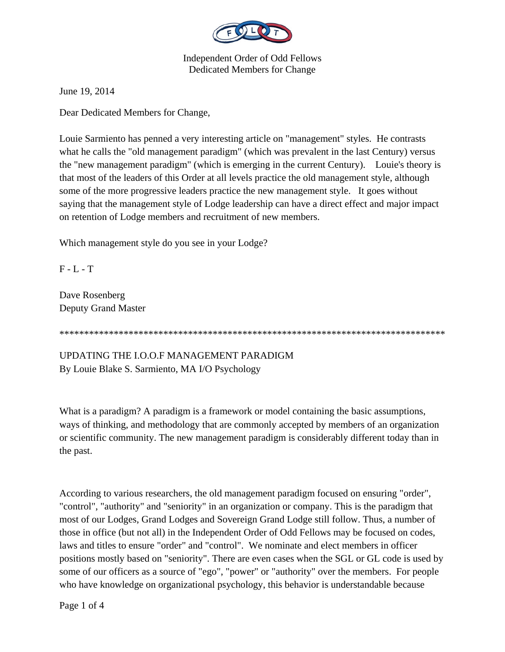

June 19, 2014

Dear Dedicated Members for Change,

Louie Sarmiento has penned a very interesting article on "management" styles. He contrasts what he calls the "old management paradigm" (which was prevalent in the last Century) versus the "new management paradigm" (which is emerging in the current Century). Louie's theory is that most of the leaders of this Order at all levels practice the old management style, although some of the more progressive leaders practice the new management style. It goes without saying that the management style of Lodge leadership can have a direct effect and major impact on retention of Lodge members and recruitment of new members.

Which management style do you see in your Lodge?

 $F - L - T$ 

Dave Rosenberg Deputy Grand Master

\*\*\*\*\*\*\*\*\*\*\*\*\*\*\*\*\*\*\*\*\*\*\*\*\*\*\*\*\*\*\*\*\*\*\*\*\*\*\*\*\*\*\*\*\*\*\*\*\*\*\*\*\*\*\*\*\*\*\*\*\*\*\*\*\*\*\*\*\*\*\*\*\*\*\*\*\*\*

UPDATING THE I.O.O.F MANAGEMENT PARADIGM By Louie Blake S. Sarmiento, MA I/O Psychology

What is a paradigm? A paradigm is a framework or model containing the basic assumptions, ways of thinking, and methodology that are commonly accepted by members of an organization or scientific community. The new management paradigm is considerably different today than in the past.

According to various researchers, the old management paradigm focused on ensuring "order", "control", "authority" and "seniority" in an organization or company. This is the paradigm that most of our Lodges, Grand Lodges and Sovereign Grand Lodge still follow. Thus, a number of those in office (but not all) in the Independent Order of Odd Fellows may be focused on codes, laws and titles to ensure "order" and "control". We nominate and elect members in officer positions mostly based on "seniority". There are even cases when the SGL or GL code is used by some of our officers as a source of "ego", "power" or "authority" over the members. For people who have knowledge on organizational psychology, this behavior is understandable because

Page 1 of 4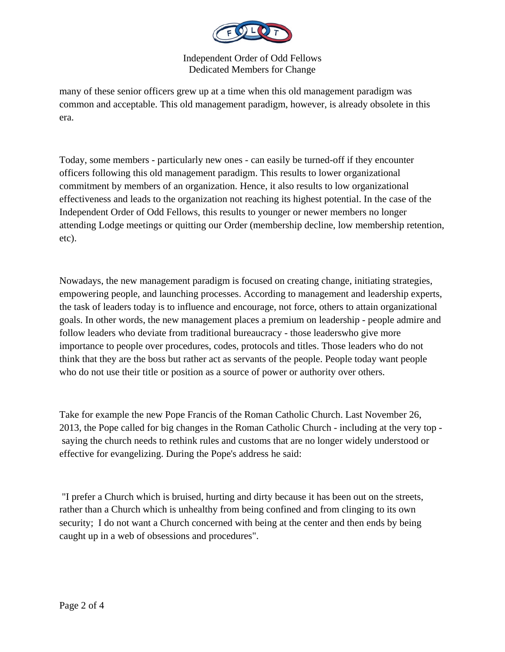

many of these senior officers grew up at a time when this old management paradigm was common and acceptable. This old management paradigm, however, is already obsolete in this era.

Today, some members - particularly new ones - can easily be turned-off if they encounter officers following this old management paradigm. This results to lower organizational commitment by members of an organization. Hence, it also results to low organizational effectiveness and leads to the organization not reaching its highest potential. In the case of the Independent Order of Odd Fellows, this results to younger or newer members no longer attending Lodge meetings or quitting our Order (membership decline, low membership retention, etc).

Nowadays, the new management paradigm is focused on creating change, initiating strategies, empowering people, and launching processes. According to management and leadership experts, the task of leaders today is to influence and encourage, not force, others to attain organizational goals. In other words, the new management places a premium on leadership - people admire and follow leaders who deviate from traditional bureaucracy - those leaderswho give more importance to people over procedures, codes, protocols and titles. Those leaders who do not think that they are the boss but rather act as servants of the people. People today want people who do not use their title or position as a source of power or authority over others.

Take for example the new Pope Francis of the Roman Catholic Church. Last November 26, 2013, the Pope called for big changes in the Roman Catholic Church - including at the very top saying the church needs to rethink rules and customs that are no longer widely understood or effective for evangelizing. During the Pope's address he said:

 "I prefer a Church which is bruised, hurting and dirty because it has been out on the streets, rather than a Church which is unhealthy from being confined and from clinging to its own security; I do not want a Church concerned with being at the center and then ends by being caught up in a web of obsessions and procedures".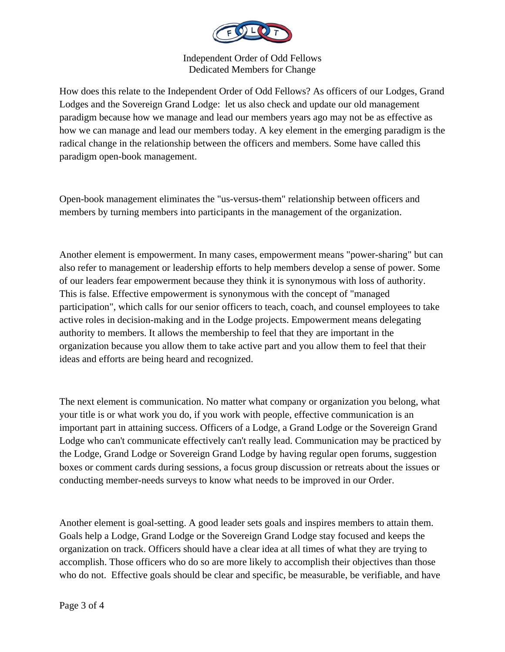

How does this relate to the Independent Order of Odd Fellows? As officers of our Lodges, Grand Lodges and the Sovereign Grand Lodge: let us also check and update our old management paradigm because how we manage and lead our members years ago may not be as effective as how we can manage and lead our members today. A key element in the emerging paradigm is the radical change in the relationship between the officers and members. Some have called this paradigm open-book management.

Open-book management eliminates the "us-versus-them" relationship between officers and members by turning members into participants in the management of the organization.

Another element is empowerment. In many cases, empowerment means "power-sharing" but can also refer to management or leadership efforts to help members develop a sense of power. Some of our leaders fear empowerment because they think it is synonymous with loss of authority. This is false. Effective empowerment is synonymous with the concept of "managed participation", which calls for our senior officers to teach, coach, and counsel employees to take active roles in decision-making and in the Lodge projects. Empowerment means delegating authority to members. It allows the membership to feel that they are important in the organization because you allow them to take active part and you allow them to feel that their ideas and efforts are being heard and recognized.

The next element is communication. No matter what company or organization you belong, what your title is or what work you do, if you work with people, effective communication is an important part in attaining success. Officers of a Lodge, a Grand Lodge or the Sovereign Grand Lodge who can't communicate effectively can't really lead. Communication may be practiced by the Lodge, Grand Lodge or Sovereign Grand Lodge by having regular open forums, suggestion boxes or comment cards during sessions, a focus group discussion or retreats about the issues or conducting member-needs surveys to know what needs to be improved in our Order.

Another element is goal-setting. A good leader sets goals and inspires members to attain them. Goals help a Lodge, Grand Lodge or the Sovereign Grand Lodge stay focused and keeps the organization on track. Officers should have a clear idea at all times of what they are trying to accomplish. Those officers who do so are more likely to accomplish their objectives than those who do not. Effective goals should be clear and specific, be measurable, be verifiable, and have